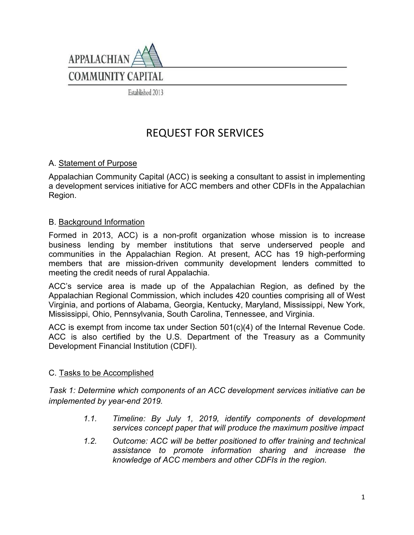

Established 2013

# REQUEST FOR SERVICES

### A. Statement of Purpose

Appalachian Community Capital (ACC) is seeking a consultant to assist in implementing a development services initiative for ACC members and other CDFIs in the Appalachian Region.

#### B. Background Information

Formed in 2013, ACC) is a non-profit organization whose mission is to increase business lending by member institutions that serve underserved people and communities in the Appalachian Region. At present, ACC has 19 high-performing members that are mission-driven community development lenders committed to meeting the credit needs of rural Appalachia.

ACC's service area is made up of the Appalachian Region, as defined by the Appalachian Regional Commission, which includes 420 counties comprising all of West Virginia, and portions of Alabama, Georgia, Kentucky, Maryland, Mississippi, New York, Mississippi, Ohio, Pennsylvania, South Carolina, Tennessee, and Virginia.

ACC is exempt from income tax under Section 501(c)(4) of the Internal Revenue Code. ACC is also certified by the U.S. Department of the Treasury as a Community Development Financial Institution (CDFI).

#### C. Tasks to be Accomplished

*Task 1: Determine which components of an ACC development services initiative can be implemented by year-end 2019.*

- *1.1. Timeline: By July 1, 2019, identify components of development services concept paper that will produce the maximum positive impact*
- *1.2. Outcome: ACC will be better positioned to offer training and technical assistance to promote information sharing and increase the knowledge of ACC members and other CDFIs in the region.*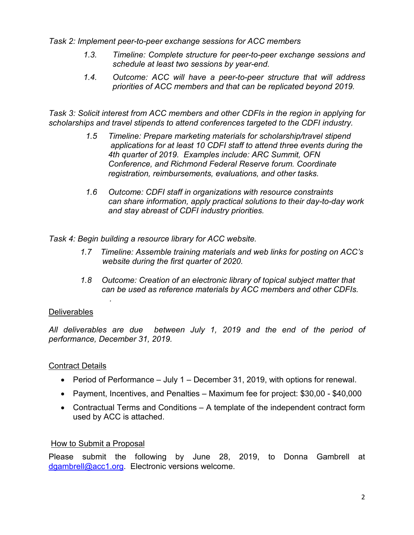*Task 2: Implement peer-to-peer exchange sessions for ACC members*

- *1.3. Timeline: Complete structure for peer-to-peer exchange sessions and schedule at least two sessions by year-end.*
- *1.4. Outcome: ACC will have a peer-to-peer structure that will address priorities of ACC members and that can be replicated beyond 2019.*

*Task 3: Solicit interest from ACC members and other CDFIs in the region in applying for scholarships and travel stipends to attend conferences targeted to the CDFI industry.*

- *1.5 Timeline: Prepare marketing materials for scholarship/travel stipend applications for at least 10 CDFI staff to attend three events during the 4th quarter of 2019. Examples include: ARC Summit, OFN Conference, and Richmond Federal Reserve forum. Coordinate registration, reimbursements, evaluations, and other tasks.*
- *1.6 Outcome: CDFI staff in organizations with resource constraints can share information, apply practical solutions to their day-to-day work and stay abreast of CDFI industry priorities.*

*Task 4: Begin building a resource library for ACC website.* 

- *1.7 Timeline: Assemble training materials and web links for posting on ACC's website during the first quarter of 2020.*
- *1.8 Outcome: Creation of an electronic library of topical subject matter that can be used as reference materials by ACC members and other CDFIs.*

## **Deliverables**

*.*

*All deliverables are due between July 1, 2019 and the end of the period of performance, December 31, 2019.*

## Contract Details

- Period of Performance July 1 December 31, 2019, with options for renewal.
- Payment, Incentives, and Penalties Maximum fee for project: \$30,00 \$40,000
- Contractual Terms and Conditions A template of the independent contract form used by ACC is attached.

#### How to Submit a Proposal

Please submit the following by June 28, 2019, to Donna Gambrell at [dgambrell@acc1.org.](mailto:dgambrell@acc1.org) Electronic versions welcome.